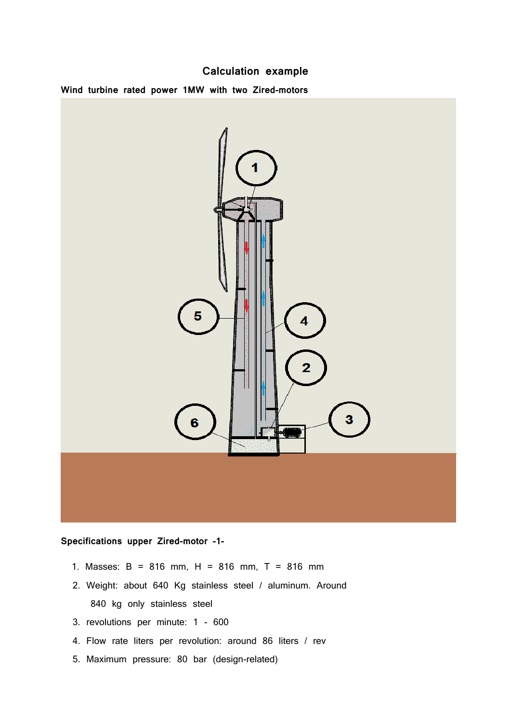# **Calculation example**

**Wind turbine rated power 1MW with two Zired-motors**



## **Specifications upper Zired-motor -1-**

- 1. Masses: B = 816 mm, H = 816 mm, T = 816 mm
- 2. Weight: about 640 Kg stainless steel / aluminum. Around 840 kg only stainless steel
- 3. revolutions per minute: 1 600
- 4. Flow rate liters per revolution: around 86 liters / rev
- 5. Maximum pressure: 80 bar (design-related)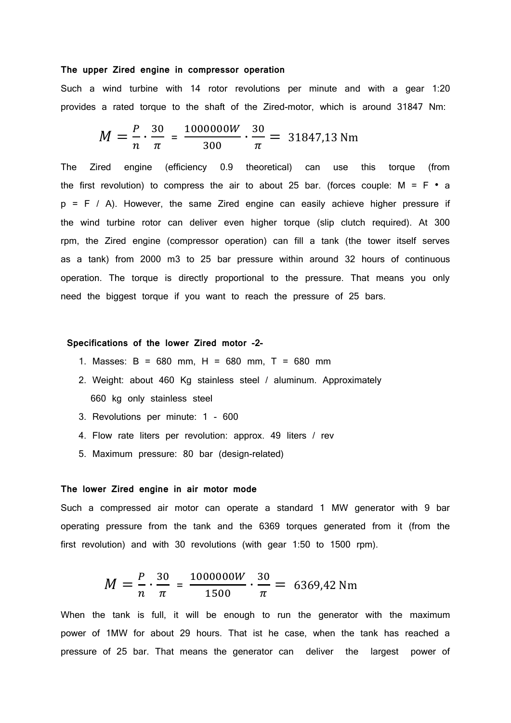### **The upper Zired engine in compressor operation**

Such a wind turbine with 14 rotor revolutions per minute and with a gear 1:20 provides a rated torque to the shaft of the Zired-motor, which is around 31847 Nm:

$$
M = \frac{P}{n} \cdot \frac{30}{\pi} = \frac{1000000W}{300} \cdot \frac{30}{\pi} = 31847,13 \text{ Nm}
$$

The Zired engine (efficiency 0.9 theoretical) can use this torque (from the first revolution) to compress the air to about 25 bar. (forces couple:  $M = F \cdot a$  $p = F / A$ ). However, the same Zired engine can easily achieve higher pressure if the wind turbine rotor can deliver even higher torque (slip clutch required). At 300 rpm, the Zired engine (compressor operation) can fill a tank (the tower itself serves as a tank) from 2000 m3 to 25 bar pressure within around 32 hours of continuous operation. The torque is directly proportional to the pressure. That means you only need the biggest torque if you want to reach the pressure of 25 bars.

### **Specifications of the lower Zired motor -2-**

- 1. Masses: B = 680 mm, H = 680 mm, T = 680 mm
- 2. Weight: about 460 Kg stainless steel / aluminum. Approximately 660 kg only stainless steel
- 3. Revolutions per minute: 1 600
- 4. Flow rate liters per revolution: approx. 49 liters / rev
- 5. Maximum pressure: 80 bar (design-related)

#### **The lower Zired engine in air motor mode**

Such a compressed air motor can operate a standard 1 MW generator with 9 bar operating pressure from the tank and the 6369 torques generated from it (from the first revolution) and with 30 revolutions (with gear 1:50 to 1500 rpm).

$$
M = \frac{P}{n} \cdot \frac{30}{\pi} = \frac{1000000W}{1500} \cdot \frac{30}{\pi} = 6369,42 \text{ Nm}
$$

When the tank is full, it will be enough to run the generator with the maximum power of 1MW for about 29 hours. That ist he case, when the tank has reached a pressure of 25 bar. That means the generator can deliver the largest power of